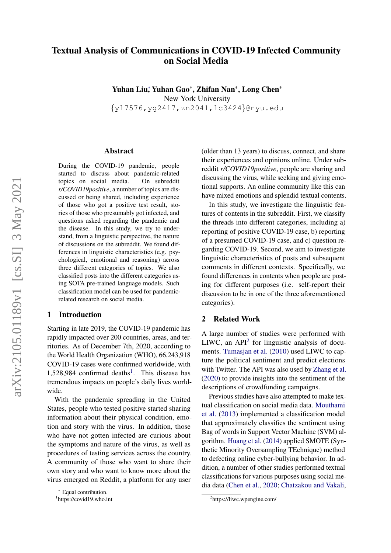# Textual Analysis of Communications in COVID-19 Infected Community on Social Media

Yuhan Liu<sup>∗</sup> , Yuhan Gao\*, Zhifan Nan\*, Long Chen\* New York University {yl7576,yg2417,zn2041,lc3424}@nyu.edu

#### Abstract

During the COVID-19 pandemic, people started to discuss about pandemic-related topics on social media. On subreddit *r/COVID19positive*, a number of topics are discussed or being shared, including experience of those who got a positive test result, stories of those who presumably got infected, and questions asked regarding the pandemic and the disease. In this study, we try to understand, from a linguistic perspective, the nature of discussions on the subreddit. We found differences in linguistic characteristics (e.g. psychological, emotional and reasoning) across three different categories of topics. We also classified posts into the different categories using SOTA pre-trained language models. Such classification model can be used for pandemicrelated research on social media.

## 1 Introduction

Starting in late 2019, the COVID-19 pandemic has rapidly impacted over 200 countries, areas, and territories. As of December 7th, 2020, according to the World Health Organization (WHO), 66,243,918 COVID-19 cases were confirmed worldwide, with [1](#page-0-0),528,984 confirmed deaths<sup>1</sup>. This disease has tremendous impacts on people's daily lives worldwide.

With the pandemic spreading in the United States, people who tested positive started sharing information about their physical condition, emotion and story with the virus. In addition, those who have not gotten infected are curious about the symptoms and nature of the virus, as well as procedures of testing services across the country. A community of those who want to share their own story and who want to know more about the virus emerged on Reddit, a platform for any user

(older than 13 years) to discuss, connect, and share their experiences and opinions online. Under subreddit *r/COVID19positive*, people are sharing and discussing the virus, while seeking and giving emotional supports. An online community like this can have mixed emotions and splendid textual contents.

In this study, we investigate the linguistic features of contents in the subreddit. First, we classify the threads into different categories, including a) reporting of positive COVID-19 case, b) reporting of a presumed COVID-19 case, and c) question regarding COVID-19. Second, we aim to investigate linguistic characteristics of posts and subsequent comments in different contexts. Specifically, we found differences in contents when people are posting for different purposes (i.e. self-report their discussion to be in one of the three aforementioned categories).

## 2 Related Work

A large number of studies were performed with LIWC, an API<sup>[2](#page-0-1)</sup> for linguistic analysis of documents. [Tumasjan et al.](#page-4-0) [\(2010\)](#page-4-0) used LIWC to capture the political sentiment and predict elections with Twitter. The API was also used by [Zhang et al.](#page-4-1) [\(2020\)](#page-4-1) to provide insights into the sentiment of the descriptions of crowdfunding campaigns.

Previous studies have also attempted to make textual classification on social media data. [Mouthami](#page-4-2) [et al.](#page-4-2) [\(2013\)](#page-4-2) implemented a classification model that approximately classifies the sentiment using Bag of words in Support Vector Machine (SVM) algorithm. [Huang et al.](#page-4-3) [\(2014\)](#page-4-3) applied SMOTE (Synthetic Minority Oversampling TEchnique) method to defecting online cyber-bullying behavior. In addition, a number of other studies performed textual classifications for various purposes using social media data [\(Chen et al.,](#page-4-4) [2020;](#page-4-4) [Chatzakou and Vakali,](#page-4-5)

Equal contribution.

<span id="page-0-0"></span><sup>1</sup> https://covid19.who.int

<span id="page-0-1"></span><sup>2</sup> https://liwc.wpengine.com/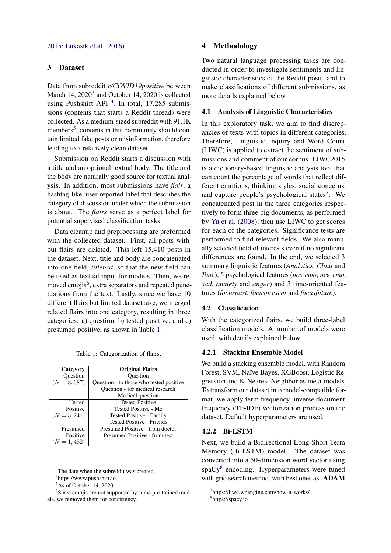## 3 Dataset

Data from subreddit *r/COVID19positive* between March 14, 2020<sup>[3](#page-1-0)</sup> and October 14, 2020 is collected using Pushshift API<sup>[4](#page-1-1)</sup>. In total, 17,285 submissions (contents that starts a Reddit thread) were collected. As a medium-sized subreddit with 91.1K members<sup>[5](#page-1-2)</sup>, contents in this community should contain limited fake posts or misinformation, therefore leading to a relatively clean dataset.

Submission on Reddit starts a discussion with a title and an optional textual body. The title and the body are naturally good source for textual analysis. In addition, most submissions have *flair*, a hashtag-like, user-reported label that describes the category of discussion under which the submission is about. The *flairs* serve as a perfect label for potential supervised classification tasks.

Data cleanup and preprocessing are preformed with the collected dataset. First, all posts without flairs are deleted. This left 15,410 posts in the dataset. Next, title and body are concatenated into one field, *titletext*, so that the new field can be used as textual input for models. Then, we re-moved emojis<sup>[6](#page-1-3)</sup>, extra separators and repeated punctuations from the text. Lastly, since we have 10 different flairs but limited dataset size, we merged related flairs into one category, resulting in three categories: a) question, b) tested positive, and c) presumed positive, as shown in Table [1.](#page-1-4)

|  | Table 1: Categorization of flairs. |  |  |
|--|------------------------------------|--|--|
|--|------------------------------------|--|--|

<span id="page-1-4"></span>

| Category       | <b>Original Flairs</b>                  |  |
|----------------|-----------------------------------------|--|
| Ouestion       | Ouestion                                |  |
| $(N = 8,687)$  | Question - to those who tested positive |  |
|                | Question - for medical research         |  |
|                | Medical question                        |  |
| Tested         | <b>Tested Positive</b>                  |  |
| Positive       | Tested Positive - Me                    |  |
| $(N = 5, 241)$ | Tested Positive - Family                |  |
|                | Tested Positive - Friends               |  |
| Presumed       | Presumed Positive - from doctor         |  |
| Positive       | Presumed Positive - from test           |  |
| $(N = 1, 482)$ |                                         |  |

<span id="page-1-0"></span><sup>&</sup>lt;sup>3</sup>The date when the subreddit was created.

## 4 Methodology

Two natural language processing tasks are conducted in order to investigate sentiments and linguistic characteristics of the Reddit posts, and to make classifications of different submissions, as more details explained below.

## 4.1 Analysis of Linguistic Characteristics

In this exploratory task, we aim to find discrepancies of texts with topics in different categories. Therefore, Linguistic Inquiry and Word Count (LIWC) is applied to extract the sentiment of submissions and comment of our corpus. LIWC2015 is a dictionary-based linguistic analysis tool that can count the percentage of words that reflect different emotions, thinking styles, social concerns, and capture people's psychological states<sup>[7](#page-1-5)</sup>. We concatenated post in the three categories respectively to form three big documents, as performed by [Yu et al.](#page-4-7) [\(2008\)](#page-4-7), then use LIWC to get scores for each of the categories. Significance tests are performed to find relevant fields. We also manually selected field of interests even if no significant differences are found. In the end, we selected 3 summary linguistic features (*Analytics*, *Clout* and *Tone*), 5 psychological features (*pos emo*, *neg emo*, *sad*, *anxiety* and *anger*) and 3 time-oriented features (*focuspast*, *focuspresent* and *focusfuture*).

## 4.2 Classification

With the categorized flairs, we build three-label classification models. A number of models were used, with details explained below.

## 4.2.1 Stacking Ensemble Model

We build a stacking ensemble model, with Random Forest, SVM, Na¨ıve Bayes, XGBoost, Logistic Regression and K-Nearest Neighbor as meta-models. To transform our dataset into model-compatible format, we apply term frequency–inverse document frequency (TF-IDF) vectorization process on the dataset. Default hyperparameters are used.

#### 4.2.2 Bi-LSTM

Next, we build a Bidirectional Long-Short Term Memory (Bi-LSTM) model. The dataset was converted into a 50-dimension word vector using spaCy<sup>[8](#page-1-6)</sup> encoding. Hyperparameters were tuned with grid search method, with best ones as: ADAM

<span id="page-1-1"></span><sup>4</sup> https://www.pushshift.io.

<span id="page-1-3"></span><span id="page-1-2"></span> $5$ As of October 14, 2020.

<sup>&</sup>lt;sup>6</sup>Since emojis are not supported by some pre-trained models, we removed them for consistency.

<span id="page-1-5"></span><sup>7</sup> https://liwc.wpengine.com/how-it-works/

<span id="page-1-6"></span><sup>8</sup> https://spacy.io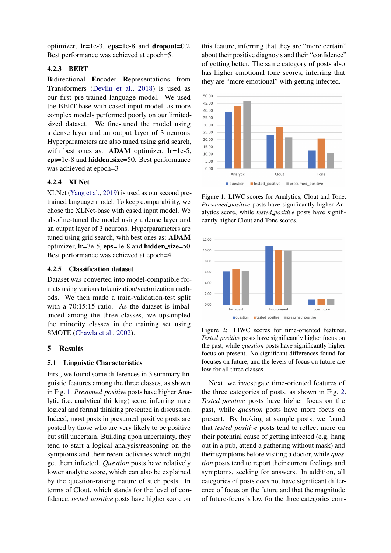optimizer, lr=1e-3, eps=1e-8 and dropout=0.2. Best performance was achieved at epoch=5.

## 4.2.3 BERT

Bidirectional Encoder Representations from Transformers [\(Devlin et al.,](#page-4-8) [2018\)](#page-4-8) is used as our first pre-trained language model. We used the BERT-base with cased input model, as more complex models performed poorly on our limitedsized dataset. We fine-tuned the model using a dense layer and an output layer of 3 neurons. Hyperparameters are also tuned using grid search, with best ones as: **ADAM** optimizer, **lr**=1e-5, eps=1e-8 and hidden size=50. Best performance was achieved at epoch=3

## 4.2.4 XLNet

XLNet [\(Yang et al.,](#page-4-9) [2019\)](#page-4-9) is used as our second pretrained language model. To keep comparability, we chose the XLNet-base with cased input model. We alsofine-tuned the model using a dense layer and an output layer of 3 neurons. Hyperparameters are tuned using grid search, with best ones as: ADAM optimizer,  $Ir=3e-5$ ,  $eps=1e-8$  and hidden  $size=50$ . Best performance was achieved at epoch=4.

## 4.2.5 Classification dataset

Dataset was converted into model-compatible formats using various tokenization/vectorization methods. We then made a train-validation-test split with a 70:15:15 ratio. As the dataset is imbalanced among the three classes, we upsampled the minority classes in the training set using SMOTE [\(Chawla et al.,](#page-4-10) [2002\)](#page-4-10).

## 5 Results

#### 5.1 Linguistic Characteristics

First, we found some differences in 3 summary linguistic features among the three classes, as shown in Fig. [1.](#page-2-0) *Presumed positive* posts have higher Analytic (i.e. analytical thinking) score, inferring more logical and formal thinking presented in discussion. Indeed, most posts in presumed positive posts are posted by those who are very likely to be positive but still uncertain. Building upon uncertainty, they tend to start a logical analysis/reasoning on the symptoms and their recent activities which might get them infected. *Question* posts have relatively lower analytic score, which can also be explained by the question-raising nature of such posts. In terms of Clout, which stands for the level of confidence, *tested positive* posts have higher score on

this feature, inferring that they are "more certain" about their positive diagnosis and their "confidence" of getting better. The same category of posts also has higher emotional tone scores, inferring that they are "more emotional" with getting infected.

<span id="page-2-0"></span>

Figure 1: LIWC scores for Analytics, Clout and Tone. *Presumed positive* posts have significantly higher Analytics score, while *tested positive* posts have significantly higher Clout and Tone scores.

<span id="page-2-1"></span>

Figure 2: LIWC scores for time-oriented features. *Tested positive* posts have significantly higher focus on the past, while *question* posts have significantly higher focus on present. No significant differences found for focuses on future, and the levels of focus on future are low for all three classes.

Next, we investigate time-oriented features of the three categories of posts, as shown in Fig. [2.](#page-2-1) *Tested positive* posts have higher focus on the past, while *question* posts have more focus on present. By looking at sample posts, we found that *tested positive* posts tend to reflect more on their potential cause of getting infected (e.g. hang out in a pub, attend a gathering without mask) and their symptoms before visiting a doctor, while *question* posts tend to report their current feelings and symptoms, seeking for answers. In addition, all categories of posts does not have significant difference of focus on the future and that the magnitude of future-focus is low for the three categories com-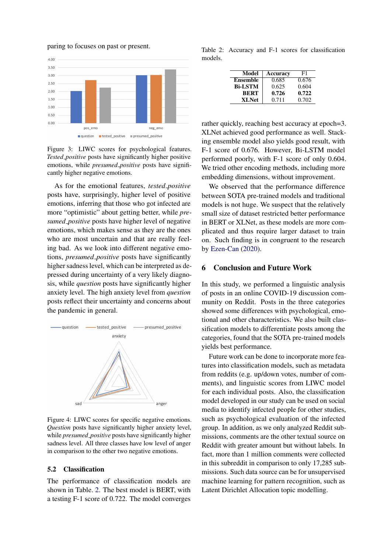paring to focuses on past or present.



Figure 3: LIWC scores for psychological features. *Tested positive* posts have significantly higher positive emotions, while *presumed positive* posts have significantly higher negative emotions.

As for the emotional features, *tested positive* posts have, surprisingly, higher level of positive emotions, inferring that those who got infected are more "optimistic" about getting better, while *presumed positive* posts have higher level of negative emotions, which makes sense as they are the ones who are most uncertain and that are really feeling bad. As we look into different negative emotions, *presumed positive* posts have significantly higher sadness level, which can be interpreted as depressed during uncertainty of a very likely diagnosis, while *question* posts have significantly higher anxiety level. The high anxiety level from *question* posts reflect their uncertainty and concerns about the pandemic in general.



Figure 4: LIWC scores for specific negative emotions. *Question* posts have significantly higher anxiety level, while *presumed positive* posts have significantly higher sadness level. All three classes have low level of anger in comparison to the other two negative emotions.

#### 5.2 Classification

The performance of classification models are shown in Table. [2.](#page-3-0) The best model is BERT, with a testing F-1 score of 0.722. The model converges

<span id="page-3-0"></span>Table 2: Accuracy and F-1 scores for classification models.

| Model           | Accuracy | F1    |
|-----------------|----------|-------|
| <b>Ensemble</b> | 0.685    | 0.676 |
| <b>Bi-LSTM</b>  | 0.625    | 0.604 |
| <b>BERT</b>     | 0.726    | 0.722 |
| <b>XLNet</b>    | 0.711    | 0.702 |

rather quickly, reaching best accuracy at epoch=3. XLNet achieved good performance as well. Stacking ensemble model also yields good result, with F-1 score of 0.676. However, Bi-LSTM model performed poorly, with F-1 score of only 0.604. We tried other encoding methods, including more embedding dimensions, without improvement.

We observed that the performance difference between SOTA pre-trained models and traditional models is not huge. We suspect that the relatively small size of dataset restricted better performance in BERT or XLNet, as these models are more complicated and thus require larger dataset to train on. Such finding is in congruent to the research by [Ezen-Can](#page-4-11) [\(2020\)](#page-4-11).

#### 6 Conclusion and Future Work

In this study, we performed a linguistic analysis of posts in an online COVID-19 discussion community on Reddit. Posts in the three categories showed some differences with psychological, emotional and other characteristics. We also built classification models to differentiate posts among the categories, found that the SOTA pre-trained models yields best performance.

Future work can be done to incorporate more features into classification models, such as metadata from reddits (e.g. up/down votes, number of comments), and linguistic scores from LIWC model for each individual posts. Also, the classification model developed in our study can be used on social media to identify infected people for other studies, such as psychological evaluation of the infected group. In addition, as we only analyzed Reddit submissions, comments are the other textual source on Reddit with greater amount but without labels. In fact, more than 1 million comments were collected in this subreddit in comparison to only 17,285 submissions. Such data source can be for unsupervised machine learning for pattern recognition, such as Latent Dirichlet Allocation topic modelling.